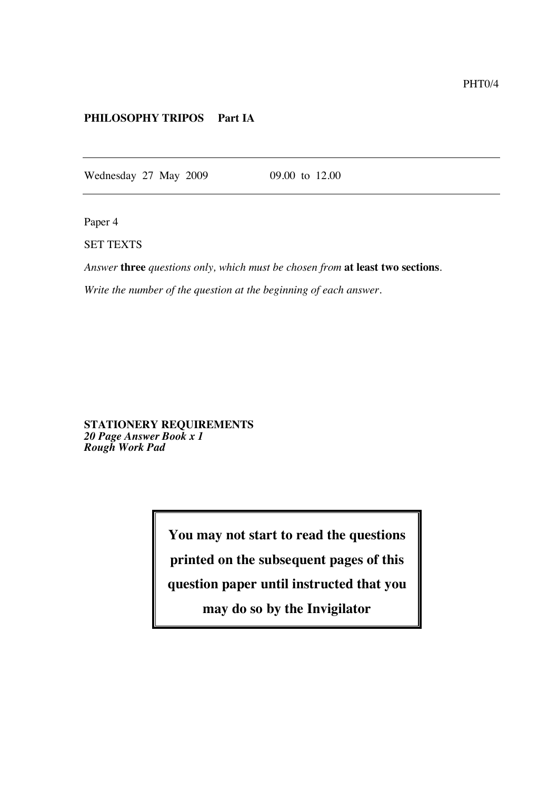## **PHILOSOPHY TRIPOS Part IA**

Wednesday 27 May 2009 09.00 to 12.00

Paper 4

SET TEXTS

*Answer* **three** *questions only, which must be chosen from* **at least two sections**.

*Write the number of the question at the beginning of each answer.*

**STATIONERY REQUIREMENTS** *20 Page Answer Book x 1 Rough Work Pad*

**You may not start to read the questions**

**printed on the subsequent pages of this**

**question paper until instructed that you**

**may do so by the Invigilator**